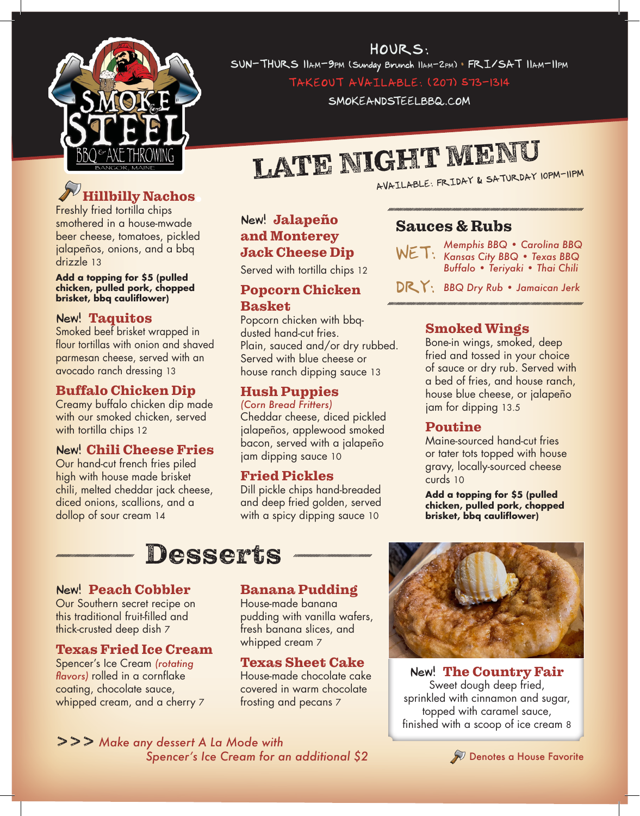

HOURS: SUN-THURS 11am-9pm (Sunday Brunch 11am-2pm) • FRI/SAT 11am-11pm

TAKEOUT AVAILABLE: (207) 573-1314

SMOKEANDSTEELBBQ.COM

# LATE NIGHT MENU

# illbilly Nachos

Freshly fried tortilla chips smothered in a house-mwade beer cheese, tomatoes, pickled jalapeños, onions, and a bbq drizzle 13

**Add a topping for \$5 (pulled chicken, pulled pork, chopped brisket, bbq cauliflower)**

### New! Taquitos

Smoked beef brisket wrapped in flour tortillas with onion and shaved parmesan cheese, served with an avocado ranch dressing 13

### Buffalo Chicken Dip

Creamy buffalo chicken dip made with our smoked chicken, served with tortilla chips 12

### New! Chili Cheese Fries

Our hand-cut french fries piled high with house made brisket chili, melted cheddar jack cheese, diced onions, scallions, and a dollop of sour cream 14

# New! Jalapeño and Monterey Jack Cheese Dip

Served with tortilla chips 12

### Popcorn Chicken Basket

Popcorn chicken with bbqdusted hand-cut fries. Plain, sauced and/or dry rubbed. Served with blue cheese or house ranch dipping sauce 13

# Hush Puppies

*(Corn Bread Fritters)* Cheddar cheese, diced pickled jalapeños, applewood smoked bacon, served with a jalapeño jam dipping sauce 10

# Fried Pickles

Dill pickle chips hand-breaded and deep fried golden, served with a spicy dipping sauce 10

# Sauces & Rubs

*Memphis BBQ • Carolina BBQ*  WET: Kansas City BBQ • Texas BBQ *Buffalo • Teriyaki • Thai Chili*

DRY: *BBQ Dry Rub • Jamaican Jerk*

# Smoked Wings

Bone-in wings, smoked, deep fried and tossed in your choice of sauce or dry rub. Served with a bed of fries, and house ranch, house blue cheese, or jalapeño jam for dipping 13.5

# Poutine

Maine-sourced hand-cut fries or tater tots topped with house gravy, locally-sourced cheese curds 10

**Add a topping for \$5 (pulled chicken, pulled pork, chopped brisket, bbq cauliflower)**

# Desserts

# New! Peach Cobbler

Our Southern secret recipe on this traditional fruit-filled and thick-crusted deep dish 7

# Texas Fried Ice Cream

Spencer's Ice Cream *(rotating flavors)* rolled in a cornflake coating, chocolate sauce, whipped cream, and a cherry 7

# Banana Pudding

House-made banana pudding with vanilla wafers, fresh banana slices, and whipped cream 7

# Texas Sheet Cake

House-made chocolate cake covered in warm chocolate frosting and pecans 7



New! The Country Fair Sweet dough deep fried, sprinkled with cinnamon and sugar, topped with caramel sauce, finished with a scoop of ice cream 8

>>> *Make any dessert A La Mode with Spencer's Ice Cream for an additional \$2*